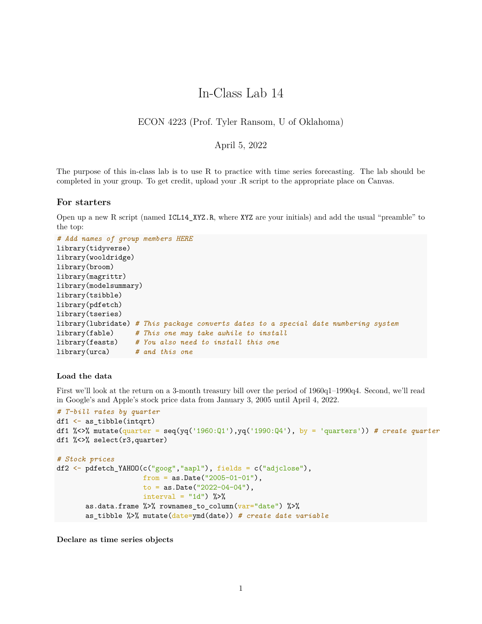# In-Class Lab 14

## ECON 4223 (Prof. Tyler Ransom, U of Oklahoma)

## April 5, 2022

The purpose of this in-class lab is to use R to practice with time series forecasting. The lab should be completed in your group. To get credit, upload your .R script to the appropriate place on Canvas.

#### **For starters**

Open up a new R script (named ICL14\_XYZ.R, where XYZ are your initials) and add the usual "preamble" to the top:

```
# Add names of group members HERE
library(tidyverse)
library(wooldridge)
library(broom)
library(magrittr)
library(modelsummary)
library(tsibble)
library(pdfetch)
library(tseries)
library(lubridate) # This package converts dates to a special date numbering system
library(fable) # This one may take awhile to install
library(feasts) # You also need to install this one
library(urca) # and this one
```
#### **Load the data**

First we'll look at the return on a 3-month treasury bill over the period of 1960q1–1990q4. Second, we'll read in Google's and Apple's stock price data from January 3, 2005 until April 4, 2022.

```
# T-bill rates by quarter
df1 \leftarrow as tibble(intqrt)
df1 %<>% mutate(quarter = seq(yq('1960:Q1'), yq('1990:Q4'), by = 'quarters'))# create quarter
df1 %<>% select(r3,quarter)
# Stock prices
df2 <- pdfetch_YAHOO(c("goog","aapl"), fields = c("adjclose"),
                     from = as.Date("2005-01-01"),
                     to = as.Date("2022-04-04"),
                     interval = "1d") %>%
       as.data.frame %>% rownames_to_column(var="date") %>%
       as_tibble %>% mutate(date=ymd(date)) # create date variable
```
**Declare as time series objects**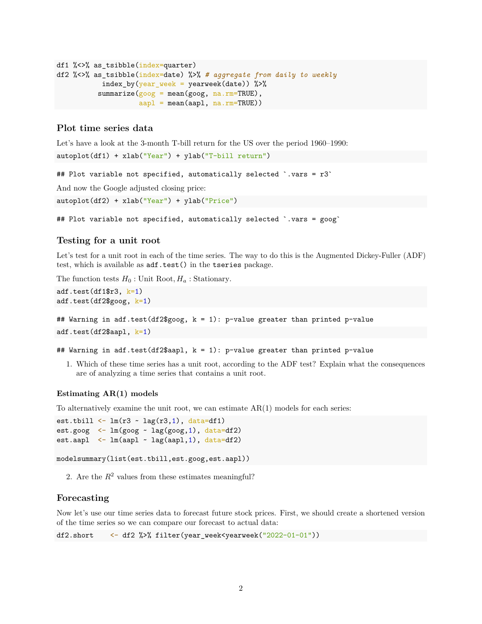```
df1 %<>% as_tsibble(index=quarter)
df2 %<>% as_tsibble(index=date) %>% # aggregate from daily to weekly
          index_by(year_week = yearweek(date)) %>%
          summarize(goog = mean(goog, na.rm=TRUE),
                    aap1 = mean(aap1, na.rm=TRUE)
```
## **Plot time series data**

Let's have a look at the 3-month T-bill return for the US over the period 1960–1990:

```
autoplot(df1) + xlab("Year") + ylab("T-bill return")
```
## Plot variable not specified, automatically selected `.vars =  $r3$ `

And now the Google adjusted closing price:

autoplot(df2) + xlab("Year") + ylab("Price")

## Plot variable not specified, automatically selected `.vars = goog`

## **Testing for a unit root**

Let's test for a unit root in each of the time series. The way to do this is the Augmented Dickey-Fuller (ADF) test, which is available as adf.test() in the tseries package.

The function tests  $H_0$ : Unit Root,  $H_a$ : Stationary.

```
adf.test(df1\r3, k=1)
adf.test(df2$goog, k=1)
```
## Warning in adf.test(df2\$goog,  $k = 1$ ): p-value greater than printed p-value

adf.test(df2\$aapl, k=1)

## Warning in adf.test(df2\$aapl,  $k = 1$ ): p-value greater than printed p-value

1. Which of these time series has a unit root, according to the ADF test? Explain what the consequences are of analyzing a time series that contains a unit root.

#### **Estimating AR(1) models**

To alternatively examine the unit root, we can estimate  $AR(1)$  models for each series:

```
est.tbill \leftarrow \text{lm}(r3 - \text{lag}(r3,1)), data=df1)
est.goog \leq lm(goog \sim lag(goog, 1), data=df2)
est.aapl \leftarrow lm(aapl \sim lag(aapl, 1), data=df2)
```
modelsummary(list(est.tbill,est.goog,est.aapl))

2. Are the  $R^2$  values from these estimates meaningful?

## **Forecasting**

Now let's use our time series data to forecast future stock prices. First, we should create a shortened version of the time series so we can compare our forecast to actual data:

```
df2.short <- df2 %>% filter(year_week<yearweek("2022-01-01"))
```